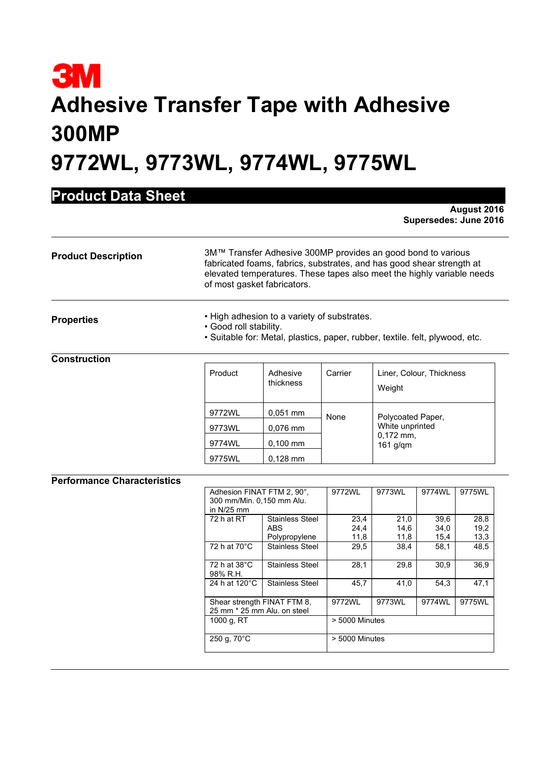# **3M Adhesive Transfer Tape with Adhesive 300MP 9772WL, 9773WL, 9774WL, 9775WL**

## **Product Data Sheet**

**August 2016 Supersedes: June 2016** 

| <b>Product Description</b> | 3M™ Transfer Adhesive 300MP provides an good bond to various<br>fabricated foams, fabrics, substrates, and has good shear strength at<br>elevated temperatures. These tapes also meet the highly variable needs<br>of most gasket fabricators.                                                                                                                                                                                                                                                                     |
|----------------------------|--------------------------------------------------------------------------------------------------------------------------------------------------------------------------------------------------------------------------------------------------------------------------------------------------------------------------------------------------------------------------------------------------------------------------------------------------------------------------------------------------------------------|
| <b>Properties</b>          | • High adhesion to a variety of substrates.<br>$\bigcap_{x \in \mathcal{X}} \mathcal{L}(x) = \bigcup_{x \in \mathcal{X}} \mathcal{L}(x) = \bigcup_{x \in \mathcal{X}} \mathcal{L}(x) = \bigcup_{x \in \mathcal{X}} \mathcal{L}(x) = \bigcup_{x \in \mathcal{X}} \mathcal{L}(x) = \bigcup_{x \in \mathcal{X}} \mathcal{L}(x) = \bigcup_{x \in \mathcal{X}} \mathcal{L}(x) = \bigcup_{x \in \mathcal{X}} \mathcal{L}(x) = \bigcup_{x \in \mathcal{X}} \mathcal{L}(x) = \bigcup_{x \in \mathcal{X}} \mathcal{L}(x) =$ |

- Good roll stability.
- Suitable for: Metal, plastics, paper, rubber, textile. felt, plywood, etc.

### **Construction**

| Product | Adhesive<br>thickness | Carrier | Liner, Colour, Thickness<br>Weight                                |
|---------|-----------------------|---------|-------------------------------------------------------------------|
| 9772WL  | $0.051$ mm            | None    | Polycoated Paper,<br>White unprinted<br>$0,172$ mm,<br>$161$ g/qm |
| 9773WL  | 0,076 mm              |         |                                                                   |
| 9774WL  | $0,100$ mm            |         |                                                                   |
| 9775WL  | $0,128$ mm            |         |                                                                   |

#### **Performance Characteristics**

|                          | Adhesion FINAT FTM 2, 90°,                                 |      | 9773WL         | 9774WL | 9775WL |  |
|--------------------------|------------------------------------------------------------|------|----------------|--------|--------|--|
|                          | 300 mm/Min. 0.150 mm Alu.                                  |      |                |        |        |  |
|                          | in $N/25$ mm                                               |      |                |        |        |  |
| 72 h at RT               | Stainless Steel                                            | 23,4 | 21,0           | 39,6   | 28,8   |  |
|                          | ABS                                                        | 24,4 | 14,6           | 34,0   | 19,2   |  |
|                          | Polypropylene                                              | 11,8 | 11,8           | 15,4   | 13,3   |  |
| 72 h at 70°C             | Stainless Steel                                            | 29,5 | 38,4           | 58,1   | 48.5   |  |
| 72 h at 38°C<br>98% R.H. | Stainless Steel                                            | 28,1 | 29,8           | 30,9   | 36,9   |  |
| 24 h at 120°C            | <b>Stainless Steel</b>                                     | 45,7 | 41.0           | 54.3   | 47.1   |  |
|                          | Shear strength FINAT FTM 8.<br>25 mm * 25 mm Alu, on steel |      | 9773WL         | 9774WL | 9775WL |  |
| 1000 g, RT               |                                                            |      | > 5000 Minutes |        |        |  |
| 250 g, 70°C              |                                                            |      | > 5000 Minutes |        |        |  |